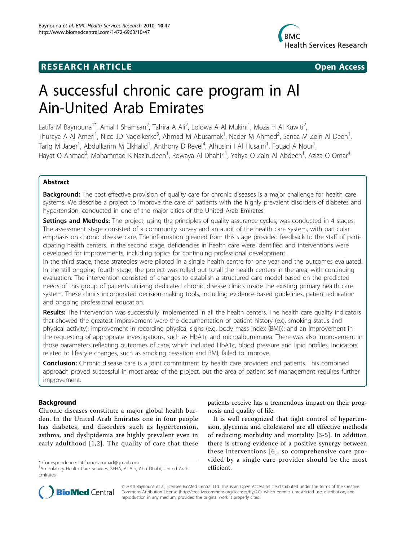# **RESEARCH ARTICLE Example 2008 CONSIDERING ACCESS**



# A successful chronic care program in Al Ain-United Arab Emirates

Latifa M Baynouna<sup>1\*</sup>, Amal I Shamsan<sup>2</sup>, Tahira A Ali<sup>2</sup>, Lolowa A Al Mukini<sup>1</sup>, Moza H Al Kuwiti<sup>2</sup> , Thuraya A Al Ameri<sup>1</sup>, Nico JD Nagelkerke<sup>3</sup>, Ahmad M Abusamak<sup>1</sup>, Nader M Ahmed<sup>2</sup>, Sanaa M Zein Al Deen<sup>1</sup> , Tariq M Jaber<sup>1</sup>, Abdulkarim M Elkhalid<sup>1</sup>, Anthony D Revel<sup>4</sup>, Alhusini I Al Husaini<sup>1</sup>, Fouad A Nour<sup>1</sup> , Hayat O Ahmad<sup>2</sup>, Mohammad K Nazirudeen<sup>1</sup>, Rowaya Al Dhahiri<sup>1</sup>, Yahya O Zain Al Abdeen<sup>1</sup>, Aziza O Omar<sup>4</sup>

# Abstract

**Background:** The cost effective provision of quality care for chronic diseases is a major challenge for health care systems. We describe a project to improve the care of patients with the highly prevalent disorders of diabetes and hypertension, conducted in one of the major cities of the United Arab Emirates.

Settings and Methods: The project, using the principles of quality assurance cycles, was conducted in 4 stages. The assessment stage consisted of a community survey and an audit of the health care system, with particular emphasis on chronic disease care. The information gleaned from this stage provided feedback to the staff of participating health centers. In the second stage, deficiencies in health care were identified and interventions were developed for improvements, including topics for continuing professional development.

In the third stage, these strategies were piloted in a single health centre for one year and the outcomes evaluated. In the still ongoing fourth stage, the project was rolled out to all the health centers in the area, with continuing evaluation. The intervention consisted of changes to establish a structured care model based on the predicted needs of this group of patients utilizing dedicated chronic disease clinics inside the existing primary health care system. These clinics incorporated decision-making tools, including evidence-based guidelines, patient education and ongoing professional education.

Results: The intervention was successfully implemented in all the health centers. The health care quality indicators that showed the greatest improvement were the documentation of patient history (e.g. smoking status and physical activity); improvement in recording physical signs (e.g. body mass index (BMI)); and an improvement in the requesting of appropriate investigations, such as HbA1c and microalbuminurea. There was also improvement in those parameters reflecting outcomes of care, which included HbA1c, blood pressure and lipid profiles. Indicators related to lifestyle changes, such as smoking cessation and BMI, failed to improve.

**Conclusion:** Chronic disease care is a joint commitment by health care providers and patients. This combined approach proved successful in most areas of the project, but the area of patient self management requires further improvement.

# Background

Chronic diseases constitute a major global health burden. In the United Arab Emirates one in four people has diabetes, and disorders such as hypertension, asthma, and dyslipidemia are highly prevalent even in early adulthood [[1](#page-12-0),[2](#page-12-0)]. The quality of care that these

patients receive has a tremendous impact on their prognosis and quality of life.

It is well recognized that tight control of hypertension, glycemia and cholesterol are all effective methods of reducing morbidity and mortality [[3-5\]](#page-12-0). In addition there is strong evidence of a positive synergy between these interventions [[6](#page-12-0)], so comprehensive care provided by a single care provider should be the most



© 2010 Baynouna et al; licensee BioMed Central Ltd. This is an Open Access article distributed under the terms of the Creative Commons Attribution License [\(http://creativecommons.org/licenses/by/2.0](http://creativecommons.org/licenses/by/2.0)), which permits unrestricted use, distribution, and reproduction in any medium, provided the original work is properly cited.

<sup>\*</sup> Correspondence: [latifa.mohammad@gmail.com](mailto:latifa.mohammad@gmail.com)<br><sup>1</sup>Ambulatory Health Care Services, SEHA, Al Ain, Abu Dhabi, United Arab **efficient.** Emirates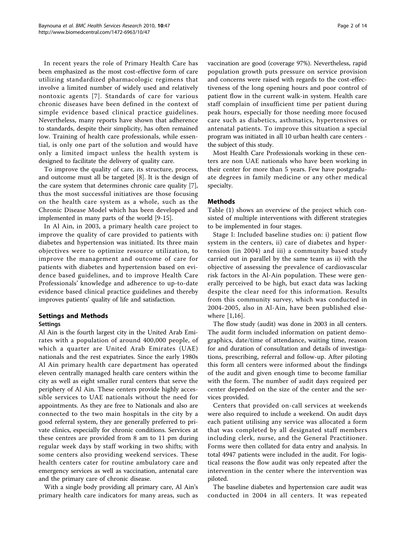In recent years the role of Primary Health Care has been emphasized as the most cost-effective form of care utilizing standardized pharmacologic regimens that involve a limited number of widely used and relatively nontoxic agents [[7](#page-12-0)]. Standards of care for various chronic diseases have been defined in the context of simple evidence based clinical practice guidelines. Nevertheless, many reports have shown that adherence to standards, despite their simplicity, has often remained low. Training of health care professionals, while essential, is only one part of the solution and would have only a limited impact unless the health system is designed to facilitate the delivery of quality care.

To improve the quality of care, its structure, process, and outcome must all be targeted [[8\]](#page-12-0). It is the design of the care system that determines chronic care quality [\[7](#page-12-0)], thus the most successful initiatives are those focusing on the health care system as a whole, such as the Chronic Disease Model which has been developed and implemented in many parts of the world [\[9](#page-12-0)-[15\]](#page-12-0).

In Al Ain, in 2003, a primary health care project to improve the quality of care provided to patients with diabetes and hypertension was initiated. Its three main objectives were to optimize resource utilization, to improve the management and outcome of care for patients with diabetes and hypertension based on evidence based guidelines, and to improve Health Care Professionals' knowledge and adherence to up-to-date evidence based clinical practice guidelines and thereby improves patients' quality of life and satisfaction.

# Settings and Methods

# **Settings**

Al Ain is the fourth largest city in the United Arab Emirates with a population of around 400,000 people, of which a quarter are United Arab Emirates (UAE) nationals and the rest expatriates. Since the early 1980s Al Ain primary health care department has operated eleven centrally managed health care centers within the city as well as eight smaller rural centers that serve the periphery of Al Ain. These centers provide highly accessible services to UAE nationals without the need for appointments. As they are free to Nationals and also are connected to the two main hospitals in the city by a good referral system, they are generally preferred to private clinics, especially for chronic conditions. Services at these centres are provided from 8 am to 11 pm during regular week days by staff working in two shifts; with some centers also providing weekend services. These health centers cater for routine ambulatory care and emergency services as well as vaccination, antenatal care and the primary care of chronic disease.

With a single body providing all primary care, Al Ain's primary health care indicators for many areas, such as vaccination are good (coverage 97%). Nevertheless, rapid population growth puts pressure on service provision and concerns were raised with regards to the cost-effectiveness of the long opening hours and poor control of patient flow in the current walk-in system. Health care staff complain of insufficient time per patient during peak hours, especially for those needing more focused care such as diabetics, asthmatics, hypertensives or antenatal patients. To improve this situation a special program was initiated in all 10 urban health care centers the subject of this study.

Most Health Care Professionals working in these centers are non UAE nationals who have been working in their center for more than 5 years. Few have postgraduate degrees in family medicine or any other medical specialty.

# Methods

Table ([1](#page-2-0)) shows an overview of the project which consisted of multiple interventions with different strategies to be implemented in four stages.

Stage I: Included baseline studies on: i) patient flow system in the centers, ii) care of diabetes and hypertension (in 2004) and iii) a community based study carried out in parallel by the same team as ii) with the objective of assessing the prevalence of cardiovascular risk factors in the Al-Ain population. These were generally perceived to be high, but exact data was lacking despite the clear need for this information. Results from this community survey, which was conducted in 2004-2005, also in Al-Ain, have been published elsewhere [\[1](#page-12-0),[16\]](#page-12-0).

The flow study (audit) was done in 2003 in all centers. The audit form included information on patient demographics, date/time of attendance, waiting time, reason for and duration of consultation and details of investigations, prescribing, referral and follow-up. After piloting this form all centers were informed about the findings of the audit and given enough time to become familiar with the form. The number of audit days required per center depended on the size of the center and the services provided.

Centers that provided on-call services at weekends were also required to include a weekend. On audit days each patient utilising any service was allocated a form that was completed by all designated staff members including clerk, nurse, and the General Practitioner. Forms were then collated for data entry and analysis. In total 4947 patients were included in the audit. For logistical reasons the flow audit was only repeated after the intervention in the center where the intervention was piloted.

The baseline diabetes and hypertension care audit was conducted in 2004 in all centers. It was repeated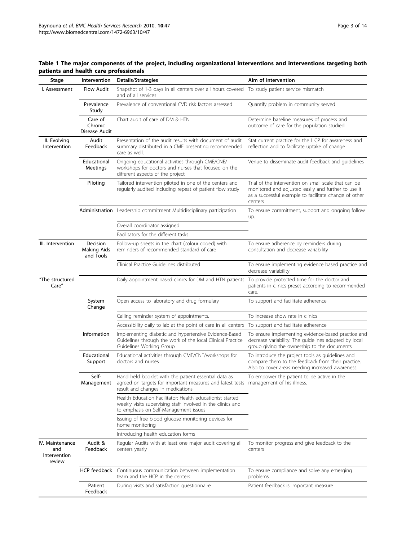| Stage                                            | Intervention                         | <b>Details/Strategies</b>                                                                                                                                                         | Aim of intervention                                                                                                                                                             |
|--------------------------------------------------|--------------------------------------|-----------------------------------------------------------------------------------------------------------------------------------------------------------------------------------|---------------------------------------------------------------------------------------------------------------------------------------------------------------------------------|
| I. Assessment                                    | <b>Flow Audit</b>                    | Snapshot of 1-3 days in all centers over all hours covered To study patient service mismatch<br>and of all services                                                               |                                                                                                                                                                                 |
|                                                  | Prevalence<br>Study                  | Prevalence of conventional CVD risk factors assessed                                                                                                                              | Quantify problem in community served                                                                                                                                            |
|                                                  | Care of<br>Chronic<br>Disease Audit  | Chart audit of care of DM & HTN                                                                                                                                                   | Determine baseline measures of process and<br>outcome of care for the population studied                                                                                        |
| II. Evolving<br>Intervention                     | Audit<br>Feedback                    | Presentation of the audit results with document of audit<br>summary distributed in a CME presenting recommended<br>care as well.                                                  | Stat current practice for the HCP for awareness and<br>reflection and to facilitate uptake of change                                                                            |
|                                                  | Educational<br>Meetings              | Ongoing educational activities through CME/CNE/<br>workshops for doctors and nurses that focused on the<br>different aspects of the project                                       | Venue to disseminate audit feedback and quidelines                                                                                                                              |
|                                                  | Piloting                             | Tailored intervention piloted in one of the centers and<br>regularly audited including repeat of patient flow study                                                               | Trial of the intervention on small scale that can be<br>monitored and adjusted easily and further to use it<br>as a successful example to facilitate change of other<br>centers |
|                                                  |                                      | Administration Leadership commitment Multidisciplinary participation                                                                                                              | To ensure commitment, support and ongoing follow<br>up.                                                                                                                         |
|                                                  |                                      | Overall coordinator assigned                                                                                                                                                      |                                                                                                                                                                                 |
|                                                  |                                      | Facilitators for the different tasks                                                                                                                                              |                                                                                                                                                                                 |
| III. Intervention                                | Decision<br>Making Aids<br>and Tools | Follow-up sheets in the chart (colour coded) with<br>reminders of recommended standard of care                                                                                    | To ensure adherence by reminders during<br>consultation and decrease variability                                                                                                |
|                                                  |                                      | Clinical Practice Guidelines distributed                                                                                                                                          | To ensure implementing evidence based practice and<br>decrease variability                                                                                                      |
| "The structured<br>Care"                         |                                      | Daily appointment based clinics for DM and HTN patients To provide protected time for the doctor and                                                                              | patients in clinics preset according to recommended<br>care.                                                                                                                    |
|                                                  | System<br>Change                     | Open access to laboratory and drug formulary                                                                                                                                      | To support and facilitate adherence                                                                                                                                             |
|                                                  |                                      | Calling reminder system of appointments.                                                                                                                                          | To increase show rate in clinics                                                                                                                                                |
|                                                  |                                      | Accessibility daily to lab at the point of care in all centers                                                                                                                    | To support and facilitate adherence                                                                                                                                             |
| IV. Maintenance<br>and<br>Intervention<br>review | Information                          | Implementing diabetic and hypertensive Evidence-Based<br>Guidelines through the work of the local Clinical Practice<br>Guidelines Working Group                                   | To ensure implementing evidence-based practice and<br>decrease variability. The guidelines adapted by local<br>group giving the ownership to the documents.                     |
|                                                  | Educational<br>Support               | Educational activities through CME/CNE/workshops for<br>doctors and nurses                                                                                                        | To introduce the project tools as guidelines and<br>compare them to the feedback from their practice.<br>Also to cover areas needing increased awareness.                       |
|                                                  | Self-<br>Management                  | Hand held booklet with the patient essential data as<br>agreed on targets for important measures and latest tests management of his illness.<br>result and changes in medications | To empower the patient to be active in the                                                                                                                                      |
|                                                  |                                      | Health Education Facilitator: Health educationist started<br>weekly visits supervising staff involved in the clinics and<br>to emphasis on Self-Management issues                 |                                                                                                                                                                                 |
|                                                  |                                      | Issuing of free blood glucose monitoring devices for<br>home monitoring                                                                                                           |                                                                                                                                                                                 |
|                                                  |                                      | Introducing health education forms                                                                                                                                                |                                                                                                                                                                                 |
|                                                  | Audit &<br>Feedback                  | Regular Audits with at least one major audit covering all<br>centers yearly                                                                                                       | To monitor progress and give feedback to the<br>centers                                                                                                                         |
|                                                  |                                      | HCP feedback Continuous communication between implementation<br>team and the HCP in the centers                                                                                   | To ensure compliance and solve any emerging<br>problems                                                                                                                         |
|                                                  | Patient<br>Feedback                  | During visits and satisfaction questionnaire                                                                                                                                      | Patient feedback is important measure                                                                                                                                           |

# <span id="page-2-0"></span>Table 1 The major components of the project, including organizational interventions and interventions targeting both patients and health care professionals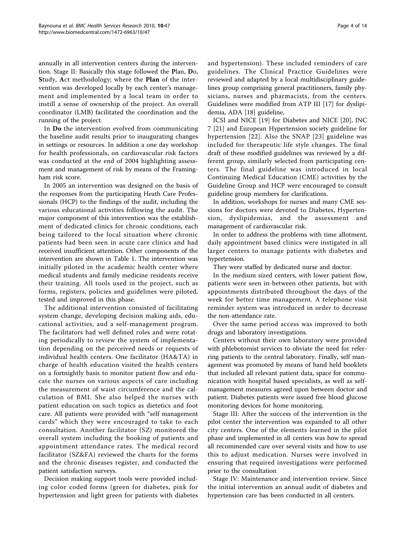annually in all intervention centers during the intervention. Stage II: Basically this stage followed the Plan, Do, Study, Act methodology; where the Plan of the intervention was developed locally by each center's management and implemented by a local team in order to instill a sense of ownership of the project. An overall coordinator (LMB) facilitated the coordination and the running of the project.

In Do the intervention evolved from communicating the baseline audit results prior to inaugurating changes in settings or resources. In addition a one day workshop for health professionals, on cardiovascular risk factors was conducted at the end of 2004 highlighting assessment and management of risk by means of the Framingham risk score.

In 2005 an intervention was designed on the basis of the responses from the participating Heath Care Professionals (HCP) to the findings of the audit, including the various educational activities following the audit. The major component of this intervention was the establishment of dedicated clinics for chronic conditions, each being tailored to the local situation where chronic patients had been seen in acute care clinics and had received insufficient attention. Other components of the intervention are shown in Table [1.](#page-2-0) The intervention was initially piloted in the academic health center where medical students and family medicine residents receive their training. All tools used in the project, such as forms, registers, policies and guidelines were piloted, tested and improved in this phase.

The additional intervention consisted of facilitating system change, developing decision making aids, educational activities, and a self-management program. The facilitators had well defined roles and were rotating periodically to review the system of implementation depending on the perceived needs or requests of individual health centers. One facilitator (HA&TA) in charge of health education visited the health centers on a fortnightly basis to monitor patient flow and educate the nurses on various aspects of care including the measurement of waist circumference and the calculation of BMI. She also helped the nurses with patient education on such topics as dietetics and foot care. All patients were provided with "self management cards" which they were encouraged to take to each consultation. Another facilitator (SZ) monitored the overall system including the booking of patients and appointment attendance rates. The medical record facilitator (SZ&FA) reviewed the charts for the forms and the chronic diseases register, and conducted the patient satisfaction surveys.

Decision making support tools were provided including color coded forms (green for diabetes, pink for hypertension and light green for patients with diabetes and hypertension). These included reminders of care guidelines. The Clinical Practice Guidelines were reviewed and adapted by a local multidisciplinary guidelines group comprising general practitioners, family physicians, nurses and pharmacists, from the centers. Guidelines were modified from ATP III [[17\]](#page-12-0) for dyslipidemia, ADA [\[18\]](#page-12-0) guideline,

ICSI and NICE [[19](#page-12-0)] for Diabetes and NICE [\[20](#page-12-0)], JNC 7 [\[21](#page-12-0)] and European Hypertension society guideline for hypertension [[22\]](#page-12-0). Also the SNAP [[23](#page-12-0)] guideline was included for therapeutic life style changes. The final draft of these modified guidelines was reviewed by a different group, similarly selected from participating centers. The final guideline was introduced in local Continuing Medical Education (CME) activities by the Guideline Group and HCP were encouraged to consult guideline group members for clarifications.

In addition, workshops for nurses and many CME sessions for doctors were devoted to Diabetes, Hypertension, dyslipidemias, and the assessment and management of cardiovascular risk.

In order to address the problems with time allotment, daily appointment based clinics were instigated in all larger centers to manage patients with diabetes and hypertension.

They were staffed by dedicated nurse and doctor.

In the medium sized centers, with lower patient flow, patients were seen in-between other patients, but with appointments distributed throughout the days of the week for better time management. A telephone visit reminder system was introduced in order to decrease the non-attendance rate.

Over the same period access was improved to both drugs and laboratory investigations.

Centers without their own laboratory were provided with phlebotomist services to obviate the need for referring patients to the central laboratory. Finally, self management was promoted by means of hand held booklets that included all relevant patient data, space for communication with hospital based specialists, as well as selfmanagement measures agreed upon between doctor and patient. Diabetes patients were issued free blood glucose monitoring devices for home monitoring.

Stage III: After the success of the intervention in the pilot center the intervention was expanded to all other city centers. One of the elements learned in the pilot phase and implemented in all centers was how to spread all recommended care over several visits and how to use this to adjust medication. Nurses were involved in ensuring that required investigations were performed prior to the consultation

Stage IV: Maintenance and intervention review. Since the initial intervention an annual audit of diabetes and hypertension care has been conducted in all centers.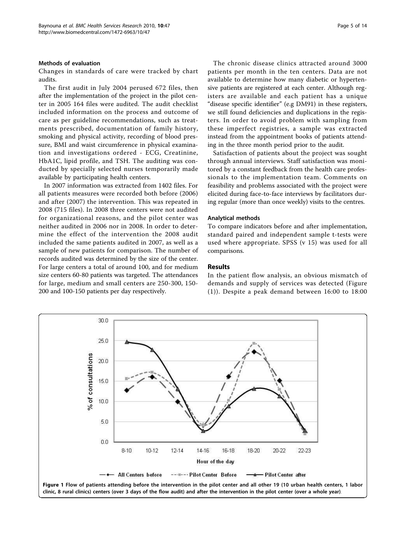#### <span id="page-4-0"></span>Methods of evaluation

Changes in standards of care were tracked by chart audits.

The first audit in July 2004 perused 672 files, then after the implementation of the project in the pilot center in 2005 164 files were audited. The audit checklist included information on the process and outcome of care as per guideline recommendations, such as treatments prescribed, documentation of family history, smoking and physical activity, recording of blood pressure, BMI and waist circumference in physical examination and investigations ordered - ECG, Creatinine, HbA1C, lipid profile, and TSH. The auditing was conducted by specially selected nurses temporarily made available by participating health centers.

In 2007 information was extracted from 1402 files. For all patients measures were recorded both before (2006) and after (2007) the intervention. This was repeated in 2008 (715 files). In 2008 three centers were not audited for organizational reasons, and the pilot center was neither audited in 2006 nor in 2008. In order to determine the effect of the intervention the 2008 audit included the same patients audited in 2007, as well as a sample of new patients for comparison. The number of records audited was determined by the size of the center. For large centers a total of around 100, and for medium size centers 60-80 patients was targeted. The attendances for large, medium and small centers are 250-300, 150- 200 and 100-150 patients per day respectively.

The chronic disease clinics attracted around 3000 patients per month in the ten centers. Data are not available to determine how many diabetic or hypertensive patients are registered at each center. Although registers are available and each patient has a unique "disease specific identifier" (e.g DM91) in these registers, we still found deficiencies and duplications in the registers. In order to avoid problem with sampling from these imperfect registries, a sample was extracted instead from the appointment books of patients attending in the three month period prior to the audit.

Satisfaction of patients about the project was sought through annual interviews. Staff satisfaction was monitored by a constant feedback from the health care professionals to the implementation team. Comments on feasibility and problems associated with the project were elicited during face-to-face interviews by facilitators during regular (more than once weekly) visits to the centres.

#### Analytical methods

To compare indicators before and after implementation, standard paired and independent sample t-tests were used where appropriate. SPSS (v 15) was used for all comparisons.

### Results

In the patient flow analysis, an obvious mismatch of demands and supply of services was detected (Figure (1)). Despite a peak demand between 16:00 to 18:00

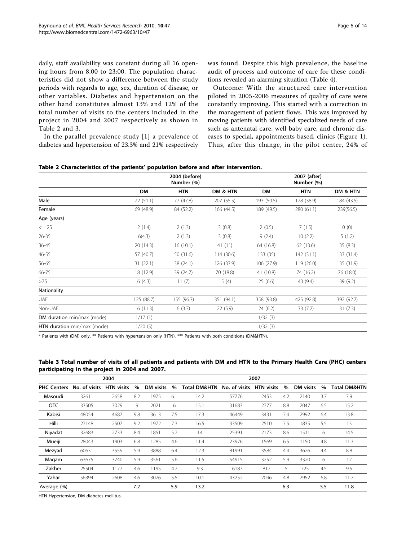daily, staff availability was constant during all 16 opening hours from 8.00 to 23:00. The population characteristics did not show a difference between the study periods with regards to age, sex, duration of disease, or other variables. Diabetes and hypertension on the other hand constitutes almost 13% and 12% of the total number of visits to the centers included in the project in 2004 and 2007 respectively as shown in Table 2 and 3.

In the parallel prevalence study [[1\]](#page-12-0) a prevalence of diabetes and hypertension of 23.3% and 21% respectively

was found. Despite this high prevalence, the baseline audit of process and outcome of care for these conditions revealed an alarming situation (Table [4](#page-6-0)).

Outcome: With the structured care intervention piloted in 2005-2006 measures of quality of care were constantly improving. This started with a correction in the management of patient flows. This was improved by moving patients with identified specialized needs of care such as antenatal care, well baby care, and chronic diseases to special, appointments based, clinics (Figure [1](#page-4-0)). Thus, after this change, in the pilot center, 24% of

| Table 2 Characteristics of the patients' population before and after intervention. |  |  |
|------------------------------------------------------------------------------------|--|--|
|------------------------------------------------------------------------------------|--|--|

|                             |            | 2004 (before)<br>Number (%) |            |            | 2007 (after)<br>Number (%) |            |
|-----------------------------|------------|-----------------------------|------------|------------|----------------------------|------------|
|                             | DM         | <b>HTN</b>                  | DM & HTN   | DM         | <b>HTN</b>                 | DM & HTN   |
| Male                        | 72 (51.1)  | 77 (47.8)                   | 207 (55.5) | 193 (50.5) | 178 (38.9)                 | 184 (43.5) |
| Female                      | 69 (48.9)  | 84 (52.2)                   | 166 (44.5) | 189 (49.5) | 280 (61.1)                 | 239(56.5)  |
| Age (years)                 |            |                             |            |            |                            |            |
| $<= 25$                     | 2(1.4)     | 2(1.3)                      | 3(0.8)     | 2(0.5)     | 7(1.5)                     | 0(0)       |
| $26 - 35$                   | 6(4.3)     | 2(1.3)                      | 3(0.8)     | 9(2.4)     | 10(2.2)                    | 5(1.2)     |
| $36 - 45$                   | 20 (14.3)  | 16 (10.1)                   | 41 (11)    | 64 (16.8)  | 62 (13.6)                  | 35(8.3)    |
| $46 - 55$                   | 57 (40.7)  | 50 (31.6)                   | 114 (30.6) | 133 (35)   | 142(31.1)                  | 133 (31.4) |
| 56-65                       | 31 (22.1)  | 38 (24.1)                   | 126 (33.9) | 106 (27.9) | 119 (26.0)                 | 135 (31.9) |
| 66-75                       | 18 (12.9)  | 39 (24.7)                   | 70 (18.8)  | 41 (10.8)  | 74 (16.2)                  | 76 (18.0)  |
| >75                         | 6(4.3)     | 11(7)                       | 15(4)      | 25(6.6)    | 43 (9.4)                   | 39 (9.2)   |
| Nationality                 |            |                             |            |            |                            |            |
| <b>UAE</b>                  | 125 (88.7) | 155 (96.3)                  | 351 (94.1) | 358 (93.8) | 425 (92.8)                 | 392 (92.7) |
| Non-UAE                     | 16(11.3)   | 6(3.7)                      | 22(5.9)    | 24 (6.2)   | 33(7.2)                    | 31(7.3)    |
| DM duration min/max (mode)  | 1/17(1)    |                             |            | 1/32(3)    |                            |            |
| HTN duration min/max (mode) | 1/20(5)    |                             |            | 1/32(3)    |                            |            |

\* Patients with (DM) only, \*\* Patients with hypertension only (HTN), \*\*\* Patients with both conditions (DM&HTN).

| Table 3 Total number of visits of all patients and patients with DM and HTN to the Primary Health Care (PHC) centers |  |  |
|----------------------------------------------------------------------------------------------------------------------|--|--|
| participating in the project in 2004 and 2007.                                                                       |  |  |

| 2004               |               |            |      |           |      | 2007         |               |                   |      |           |      |              |
|--------------------|---------------|------------|------|-----------|------|--------------|---------------|-------------------|------|-----------|------|--------------|
| <b>PHC Centers</b> | No. of visits | HTN visits | $\%$ | DM visits | $\%$ | Total DM&HTN | No. of visits | <b>HTN</b> visits | $\%$ | DM visits | $\%$ | Total DM&HTN |
| Masoudi            | 32611         | 2658       | 8.2  | 1975      | 6.1  | 14.2         | 57776         | 2453              | 4.2  | 2140      | 3.7  | 7.9          |
| <b>OTC</b>         | 33505         | 3029       | 9    | 2021      | 6    | 15.1         | 31683         | 2777              | 8.8  | 2047      | 6.5  | 15.2         |
| Kabisi             | 48054         | 4687       | 9.8  | 3613      | 7.5  | 17.3         | 46449         | 3431              | 7.4  | 2992      | 6.4  | 13.8         |
| <b>Hilli</b>       | 27148         | 2507       | 9.2  | 1972      | 7.3  | 16.5         | 33509         | 2510              | 7.5  | 1835      | 5.5  | 13           |
| Niyadat            | 32683         | 2733       | 8.4  | 1851      | 5.7  | 14           | 25391         | 2173              | 8.6  | 1511      | 6    | 14.5         |
| Mueiji             | 28043         | 1903       | 6.8  | 1285      | 4.6  | 11.4         | 23976         | 1569              | 6.5  | 1150      | 4.8  | 11.3         |
| Mezyad             | 60631         | 3559       | 5.9  | 3888      | 6.4  | 12.3         | 81991         | 3584              | 4.4  | 3626      | 4.4  | 8.8          |
| Maqam              | 63675         | 3740       | 5.9  | 3561      | 5.6  | 11.5         | 54915         | 3252              | 5.9  | 3320      | 6    | 12           |
| Zakher             | 25504         | 1177       | 4.6  | 1195      | 4.7  | 9.3          | 16187         | 817               | 5    | 725       | 4.5  | 9.5          |
| Yahar              | 56394         | 2608       | 4.6  | 3076      | 5.5  | 10.1         | 43252         | 2096              | 4.8  | 2952      | 6.8  | 11.7         |
| Average (%)        |               |            | 7.2  |           | 5.9  | 13.2         |               |                   | 6.3  |           | 5.5  | 11.8         |

HTN Hypertension, DM diabetes mellitus.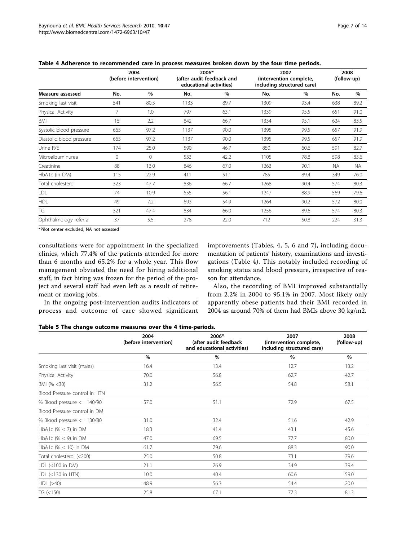|                          | 2004<br>(before intervention) |          |      | 2006*<br>(after audit feedback and<br>educational activities) |      | 2007<br>(intervention complete,<br>including structured care) |           |           |
|--------------------------|-------------------------------|----------|------|---------------------------------------------------------------|------|---------------------------------------------------------------|-----------|-----------|
| Measure assessed         | No.                           | $\%$     | No.  | $\%$                                                          | No.  | $\%$                                                          | No.       | $\%$      |
| Smoking last visit       | 541                           | 80.5     | 1133 | 89.7                                                          | 1309 | 93.4                                                          | 638       | 89.2      |
| Physical Activity        | 7                             | 1.0      | 797  | 63.1                                                          | 1339 | 95.5                                                          | 651       | 91.0      |
| BMI                      | 15                            | 2.2      | 842  | 66.7                                                          | 1334 | 95.1                                                          | 624       | 83.5      |
| Systolic blood pressure  | 665                           | 97.2     | 1137 | 90.0                                                          | 1395 | 99.5                                                          | 657       | 91.9      |
| Diastolic blood pressure | 665                           | 97.2     | 1137 | 90.0                                                          | 1395 | 99.5                                                          | 657       | 91.9      |
| Urine R/E                | 174                           | 25.0     | 590  | 46.7                                                          | 850  | 60.6                                                          | 591       | 82.7      |
| Microalbuminurea         | $\Omega$                      | $\Omega$ | 533  | 42.2                                                          | 1105 | 78.8                                                          | 598       | 83.6      |
| Creatinine               | 88                            | 13.0     | 846  | 67.0                                                          | 1263 | 90.1                                                          | <b>NA</b> | <b>NA</b> |
| HbA1c (in DM)            | 115                           | 22.9     | 411  | 51.1                                                          | 785  | 89.4                                                          | 349       | 76.0      |
| Total cholesterol        | 323                           | 47.7     | 836  | 66.7                                                          | 1268 | 90.4                                                          | 574       | 80.3      |
| LDL                      | 74                            | 10.9     | 555  | 56.1                                                          | 1247 | 88.9                                                          | 569       | 79.6      |
| <b>HDL</b>               | 49                            | 7.2      | 693  | 54.9                                                          | 1264 | 90.2                                                          | 572       | 80.0      |
| TG                       | 321                           | 47.4     | 834  | 66.0                                                          | 1256 | 89.6                                                          | 574       | 80.3      |
| Ophthalmology referral   | 37                            | 5.5      | 278  | 22.0                                                          | 712  | 50.8                                                          | 224       | 31.3      |

<span id="page-6-0"></span>Table 4 Adherence to recommended care in process measures broken down by the four time periods.

\*Pilot center excluded, NA not assessed

consultations were for appointment in the specialized clinics, which 77.4% of the patients attended for more than 6 months and 65.2% for a whole year. This flow management obviated the need for hiring additional staff, in fact hiring was frozen for the period of the project and several staff had even left as a result of retirement or moving jobs.

In the ongoing post-intervention audits indicators of process and outcome of care showed significant

improvements (Tables, 4, 5, [6](#page-7-0) and [7](#page-8-0)), including documentation of patients' history, examinations and investigations (Table 4). This notably included recording of smoking status and blood pressure, irrespective of reason for attendance.

Also, the recording of BMI improved substantially from 2.2% in 2004 to 95.1% in 2007. Most likely only apparently obese patients had their BMI recorded in 2004 as around 70% of them had BMIs above 30 kg/m2.

|  |  |  |  | Table 5 The change outcome measures over the 4 time-periods. |  |  |  |  |
|--|--|--|--|--------------------------------------------------------------|--|--|--|--|
|--|--|--|--|--------------------------------------------------------------|--|--|--|--|

|                               | 2004                  | 2006*                                                | 2007                                                  | 2008        |
|-------------------------------|-----------------------|------------------------------------------------------|-------------------------------------------------------|-------------|
|                               | (before intervention) | (after audit feedback<br>and educational activities) | (intervention complete,<br>including structured care) | (follow-up) |
|                               | $\%$                  | $\%$                                                 | %                                                     | $\%$        |
| Smoking last visit (males)    | 16.4                  | 13.4                                                 | 12.7                                                  | 13.2        |
| Physical Activity             | 70.0                  | 56.8                                                 | 62.7                                                  | 42.7        |
| BMI $(% < 30)$                | 31.2                  | 56.5                                                 | 54.8                                                  | 58.1        |
| Blood Pressure control in HTN |                       |                                                      |                                                       |             |
| % Blood pressure $<= 140/90$  | 57.0                  | 51.1                                                 | 72.9                                                  | 67.5        |
| Blood Pressure control in DM  |                       |                                                      |                                                       |             |
| % Blood pressure $<= 130/80$  | 31.0                  | 32.4                                                 | 51.6                                                  | 42.9        |
| HbA1c (% $<$ 7) in DM         | 18.3                  | 41.4                                                 | 43.1                                                  | 45.6        |
| HbA1c (% $<$ 9) in DM         | 47.0                  | 69.5                                                 | 77.7                                                  | 80.0        |
| HbA1c (% $<$ 10) in DM        | 61.7                  | 79.6                                                 | 88.3                                                  | 90.0        |
| Total cholesterol (<200)      | 25.0                  | 50.8                                                 | 73.1                                                  | 79.6        |
| LDL $(<100$ in DM)            | 21.1                  | 26.9                                                 | 34.9                                                  | 39.4        |
| LDL (<130 in HTN)             | 10.0                  | 40.4                                                 | 60.6                                                  | 59.0        |
| $HDL$ ( $>40$ )               | 48.9                  | 56.3                                                 | 54.4                                                  | 20.0        |
| $TG \; (<150)$                | 25.8                  | 67.1                                                 | 77.3                                                  | 81.3        |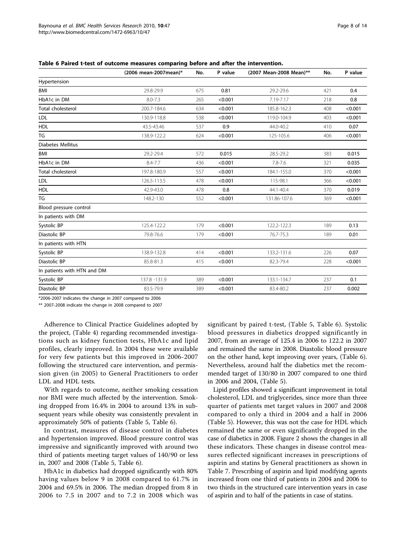|                             | (2006 mean-2007 mean)* | No. | P value | (2007 Mean-2008 Mean)** | No. | P value |
|-----------------------------|------------------------|-----|---------|-------------------------|-----|---------|
| Hypertension                |                        |     |         |                         |     |         |
| <b>BMI</b>                  | 29.8-29.9              | 675 | 0.81    | 29.2-29.6               | 421 | 0.4     |
| HbA1c in DM                 | $8.0 - 7.3$            | 265 | < 0.001 | 7.19-7.17               | 218 | 0.8     |
| <b>Total cholesterol</b>    | 200.7-184.6            | 634 | < 0.001 | 185.8-162.3             | 408 | < 0.001 |
| <b>LDL</b>                  | 130.9-118.8            | 538 | < 0.001 | 119.0-104.9             | 403 | < 0.001 |
| <b>HDL</b>                  | 43.5-43.46             | 537 | 0.9     | 44.0-40.2               | 410 | 0.07    |
| <b>TG</b>                   | 138.9-122.2            | 624 | < 0.001 | 125-105.6               | 406 | < 0.001 |
| <b>Diabetes Mellitus</b>    |                        |     |         |                         |     |         |
| <b>BMI</b>                  | 29.2-29.4              | 572 | 0.015   | 28.5-29.2               | 383 | 0.015   |
| HbA1c in DM                 | $8.4 - 7.7$            | 436 | < 0.001 | $7.8 - 7.6$             | 321 | 0.035   |
| <b>Total cholesterol</b>    | 197.8-180.9            | 557 | < 0.001 | 184.1-155.0             | 370 | < 0.001 |
| <b>LDL</b>                  | 126.5-113.5            | 478 | < 0.001 | 115-98.1                | 366 | < 0.001 |
| <b>HDL</b>                  | 42.9-43.0              | 478 | 0.8     | 44.1-40.4               | 370 | 0.019   |
| TG                          | 148.2-130              | 552 | < 0.001 | 131.86-107.6            | 369 | < 0.001 |
| Blood pressure control      |                        |     |         |                         |     |         |
| In patients with DM         |                        |     |         |                         |     |         |
| Systolic BP                 | 125.4-122.2            | 179 | < 0.001 | 122.2-122.3             | 189 | 0.13    |
| Diastolic BP                | 79.8-76.6              | 179 | < 0.001 | 76.7-75.3               | 189 | 0.01    |
| In patients with HTN        |                        |     |         |                         |     |         |
| Systolic BP                 | 138.9-132.8            | 414 | < 0.001 | 133.2-131.6             | 226 | 0.07    |
| Diastolic BP                | 85.8-81.3              | 415 | < 0.001 | 82.3-79.4               | 228 | < 0.001 |
| In patients with HTN and DM |                        |     |         |                         |     |         |
| Systolic BP                 | 137.8 -131.9           | 389 | < 0.001 | 133.1-134.7             | 237 | 0.1     |
| Diastolic BP                | 83.5-79.9              | 389 | < 0.001 | 83.4-80.2               | 237 | 0.002   |

<span id="page-7-0"></span>Table 6 Paired t-test of outcome measures comparing before and after the intervention.

\*2006-2007 indicates the change in 2007 compared to 2006

\*\* 2007-2008 indicate the change in 2008 compared to 2007

Adherence to Clinical Practice Guidelines adopted by the project, (Table [4](#page-6-0)) regarding recommended investigations such as kidney function tests, HbA1c and lipid profiles, clearly improved. In 2004 these were available for very few patients but this improved in 2006-2007 following the structured care intervention, and permission given (in 2005) to General Practitioners to order LDL and HDL tests.

With regards to outcome, neither smoking cessation nor BMI were much affected by the intervention. Smoking dropped from 16.4% in 2004 to around 13% in subsequent years while obesity was consistently prevalent in approximately 50% of patients (Table [5](#page-6-0), Table 6).

In contrast, measures of disease control in diabetes and hypertension improved. Blood pressure control was impressive and significantly improved with around two third of patients meeting target values of 140/90 or less in, 2007 and 2008 (Table [5,](#page-6-0) Table 6).

HbA1c in diabetics had dropped significantly with 80% having values below 9 in 2008 compared to 61.7% in 2004 and 69.5% in 2006. The median dropped from 8 in 2006 to 7.5 in 2007 and to 7.2 in 2008 which was significant by paired t-test, (Table [5](#page-6-0), Table 6). Systolic blood pressures in diabetics dropped significantly in 2007, from an average of 125.4 in 2006 to 122.2 in 2007 and remained the same in 2008. Diastolic blood pressure on the other hand, kept improving over years, (Table 6). Nevertheless, around half the diabetics met the recommended target of 130/80 in 2007 compared to one third in 2006 and 2004, (Table [5\)](#page-6-0).

Lipid profiles showed a significant improvement in total cholesterol, LDL and triglycerides, since more than three quarter of patients met target values in 2007 and 2008 compared to only a third in 2004 and a half in 2006 (Table [5\)](#page-6-0). However, this was not the case for HDL which remained the same or even significantly dropped in the case of diabetics in 2008. Figure [2](#page-9-0) shows the changes in all these indicators. These changes in disease control measures reflected significant increases in prescriptions of aspirin and statins by General practitioners as shown in Table [7](#page-8-0). Prescribing of aspirin and lipid modifying agents increased from one third of patients in 2004 and 2006 to two thirds in the structured care intervention years in case of aspirin and to half of the patients in case of statins.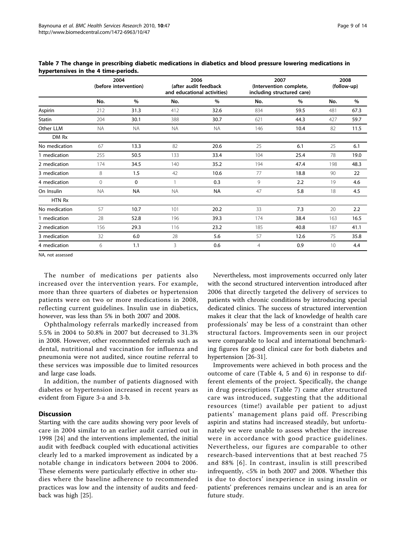|               | 2004<br>(before intervention) |           | 2006<br>(after audit feedback<br>and educational activities) |           | 2007<br>(Intervention complete,<br>including structured care) |      | 2008<br>(follow-up) |      |
|---------------|-------------------------------|-----------|--------------------------------------------------------------|-----------|---------------------------------------------------------------|------|---------------------|------|
|               | No.                           | %         | No.                                                          | $\%$      | No.                                                           | %    | No.                 | $\%$ |
| Aspirin       | 212                           | 31.3      | 412                                                          | 32.6      | 834                                                           | 59.5 | 481                 | 67.3 |
| Statin        | 204                           | 30.1      | 388                                                          | 30.7      | 621                                                           | 44.3 | 427                 | 59.7 |
| Other LLM     | <b>NA</b>                     | <b>NA</b> | <b>NA</b>                                                    | <b>NA</b> | 146                                                           | 10.4 | 82                  | 11.5 |
| DM Rx         |                               |           |                                                              |           |                                                               |      |                     |      |
| No medication | 67                            | 13.3      | 82                                                           | 20.6      | 25                                                            | 6.1  | 25                  | 6.1  |
| 1 medication  | 255                           | 50.5      | 133                                                          | 33.4      | 104                                                           | 25.4 | 78                  | 19.0 |
| 2 medication  | 174                           | 34.5      | 140                                                          | 35.2      | 194                                                           | 47.4 | 198                 | 48.3 |
| 3 medication  | 8                             | 1.5       | 42                                                           | 10.6      | 77                                                            | 18.8 | 90                  | 22   |
| 4 medication  | $\overline{0}$                | 0         | $\overline{1}$                                               | 0.3       | 9                                                             | 2.2  | 19                  | 4.6  |
| On Insulin    | <b>NA</b>                     | <b>NA</b> | <b>NA</b>                                                    | <b>NA</b> | 47                                                            | 5.8  | 18                  | 4.5  |
| HTN Rx        |                               |           |                                                              |           |                                                               |      |                     |      |
| No medication | 57                            | 10.7      | 101                                                          | 20.2      | 33                                                            | 7.3  | 20                  | 2.2  |
| 1 medication  | 28                            | 52.8      | 196                                                          | 39.3      | 174                                                           | 38.4 | 163                 | 16.5 |
| 2 medication  | 156                           | 29.3      | 116                                                          | 23.2      | 185                                                           | 40.8 | 187                 | 41.1 |
| 3 medication  | 32                            | 6.0       | 28                                                           | 5.6       | 57                                                            | 12.6 | 75                  | 35.8 |
| 4 medication  | 6                             | 1.1       | 3                                                            | 0.6       | $\overline{4}$                                                | 0.9  | 10                  | 4.4  |

<span id="page-8-0"></span>Table 7 The change in prescribing diabetic medications in diabetics and blood pressure lowering medications in hypertensives in the 4 time-periods.

NA, not assessed

The number of medications per patients also increased over the intervention years. For example, more than three quarters of diabetes or hypertension patients were on two or more medications in 2008, reflecting current guidelines. Insulin use in diabetics, however, was less than 5% in both 2007 and 2008.

Ophthalmology referrals markedly increased from 5.5% in 2004 to 50.8% in 2007 but decreased to 31.3% in 2008. However, other recommended referrals such as dental, nutritional and vaccination for influenza and pneumonia were not audited, since routine referral to these services was impossible due to limited resources and large case loads.

In addition, the number of patients diagnosed with diabetes or hypertension increased in recent years as evident from Figure [3-a](#page-10-0) and [3-b](#page-10-0).

## **Discussion**

Starting with the care audits showing very poor levels of care in 2004 similar to an earlier audit carried out in 1998 [[24\]](#page-12-0) and the interventions implemented, the initial audit with feedback coupled with educational activities clearly led to a marked improvement as indicated by a notable change in indicators between 2004 to 2006. These elements were particularly effective in other studies where the baseline adherence to recommended practices was low and the intensity of audits and feedback was high [\[25\]](#page-12-0).

Nevertheless, most improvements occurred only later with the second structured intervention introduced after 2006 that directly targeted the delivery of services to patients with chronic conditions by introducing special dedicated clinics. The success of structured intervention makes it clear that the lack of knowledge of health care professionals' may be less of a constraint than other structural factors. Improvements seen in our project were comparable to local and international benchmarking figures for good clinical care for both diabetes and hypertension [[26-31\]](#page-12-0).

Improvements were achieved in both process and the outcome of care (Table [4, 5](#page-6-0) and [6](#page-7-0)) in response to different elements of the project. Specifically, the change in drug prescriptions (Table 7) came after structured care was introduced, suggesting that the additional resources (time!) available per patient to adjust patients' management plans paid off. Prescribing aspirin and statins had increased steadily, but unfortunately we were unable to assess whether the increase were in accordance with good practice guidelines. Nevertheless, our figures are comparable to other research-based interventions that at best reached 75 and 88% [[6](#page-12-0)]. In contrast, insulin is still prescribed infrequently, <5% in both 2007 and 2008. Whether this is due to doctors' inexperience in using insulin or patients' preferences remains unclear and is an area for future study.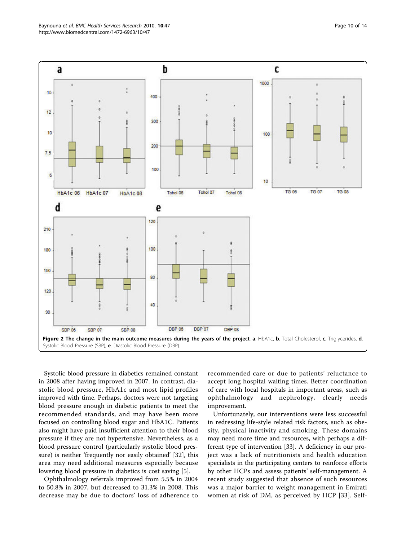<span id="page-9-0"></span>

Systolic blood pressure in diabetics remained constant in 2008 after having improved in 2007. In contrast, diastolic blood pressure, HbA1c and most lipid profiles improved with time. Perhaps, doctors were not targeting blood pressure enough in diabetic patients to meet the recommended standards, and may have been more focused on controlling blood sugar and HbA1C. Patients also might have paid insufficient attention to their blood pressure if they are not hypertensive. Nevertheless, as a blood pressure control (particularly systolic blood pressure) is neither 'frequently nor easily obtained' [\[32\]](#page-12-0), this area may need additional measures especially because lowering blood pressure in diabetics is cost saving [\[5](#page-12-0)].

Ophthalmology referrals improved from 5.5% in 2004 to 50.8% in 2007, but decreased to 31.3% in 2008. This decrease may be due to doctors' loss of adherence to recommended care or due to patients' reluctance to accept long hospital waiting times. Better coordination of care with local hospitals in important areas, such as ophthalmology and nephrology, clearly needs improvement.

Unfortunately, our interventions were less successful in redressing life-style related risk factors, such as obesity, physical inactivity and smoking. These domains may need more time and resources, with perhaps a different type of intervention [[33\]](#page-12-0). A deficiency in our project was a lack of nutritionists and health education specialists in the participating centers to reinforce efforts by other HCPs and assess patients' self-management. A recent study suggested that absence of such resources was a major barrier to weight management in Emirati women at risk of DM, as perceived by HCP [[33](#page-12-0)]. Self-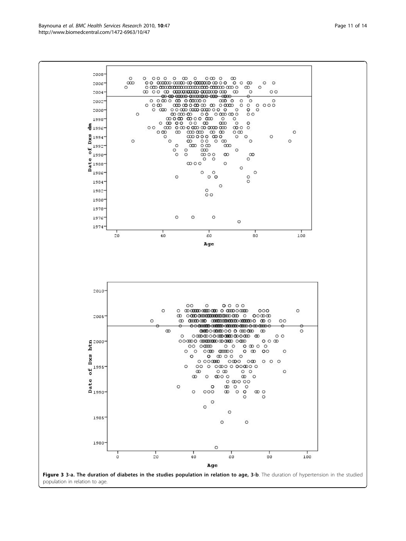<span id="page-10-0"></span>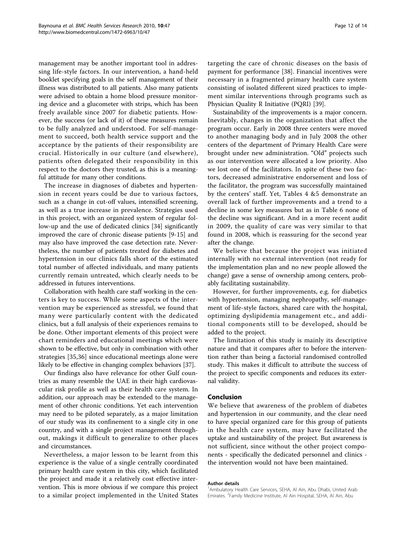management may be another important tool in addressing life-style factors. In our intervention, a hand-held booklet specifying goals in the self management of their illness was distributed to all patients. Also many patients were advised to obtain a home blood pressure monitoring device and a glucometer with strips, which has been freely available since 2007 for diabetic patients. However, the success (or lack of it) of these measures remain to be fully analyzed and understood. For self-management to succeed, both health service support and the acceptance by the patients of their responsibility are crucial. Historically in our culture (and elsewhere), patients often delegated their responsibility in this respect to the doctors they trusted, as this is a meaningful attitude for many other conditions.

The increase in diagnoses of diabetes and hypertension in recent years could be due to various factors, such as a change in cut-off values, intensified screening, as well as a true increase in prevalence. Strategies used in this project, with an organized system of regular follow-up and the use of dedicated clinics [[34](#page-12-0)] significantly improved the care of chronic disease patients [[9-15](#page-12-0)] and may also have improved the case detection rate. Nevertheless, the number of patients treated for diabetes and hypertension in our clinics falls short of the estimated total number of affected individuals, and many patients currently remain untreated, which clearly needs to be addressed in futures interventions.

Collaboration with health care staff working in the centers is key to success. While some aspects of the intervention may be experienced as stressful, we found that many were particularly content with the dedicated clinics, but a full analysis of their experiences remains to be done. Other important elements of this project were chart reminders and educational meetings which were shown to be effective, but only in combination with other strategies [[35](#page-12-0)[,36](#page-13-0)] since educational meetings alone were likely to be effective in changing complex behaviors [[37\]](#page-13-0).

Our findings also have relevance for other Gulf countries as many resemble the UAE in their high cardiovascular risk profile as well as their health care system. In addition, our approach may be extended to the management of other chronic conditions. Yet each intervention may need to be piloted separately, as a major limitation of our study was its confinement to a single city in one country, and with a single project management throughout, makings it difficult to generalize to other places and circumstances.

Nevertheless, a major lesson to be learnt from this experience is the value of a single centrally coordinated primary health care system in this city, which facilitated the project and made it a relatively cost effective intervention. This is more obvious if we compare this project to a similar project implemented in the United States

targeting the care of chronic diseases on the basis of payment for performance [[38](#page-13-0)]. Financial incentives were necessary in a fragmented primary health care system consisting of isolated different sized practices to implement similar interventions through programs such as Physician Quality R Initiative (PQRI) [[39](#page-13-0)].

Sustainability of the improvements is a major concern. Inevitably, changes in the organization that affect the program occur. Early in 2008 three centers were moved to another managing body and in July 2008 the other centers of the department of Primary Health Care were brought under new administration. "Old" projects such as our intervention were allocated a low priority. Also we lost one of the facilitators. In spite of these two factors, decreased administrative endorsement and loss of the facilitator, the program was successfully maintained by the centers' staff. Yet, Tables [4](#page-6-0) [&5](#page-6-0) demonstrate an overall lack of further improvements and a trend to a decline in some key measures but as in Table [6](#page-7-0) none of the decline was significant. And in a more recent audit in 2009, the quality of care was very similar to that found in 2008, which is reassuring for the second year after the change.

We believe that because the project was initiated internally with no external intervention (not ready for the implementation plan and no new people allowed the change) gave a sense of ownership among centers, probably facilitating sustainability.

However, for further improvements, e.g. for diabetics with hypertension, managing nephropathy, self-management of life-style factors, shared care with the hospital, optimizing dyslipidemia management etc., and additional components still to be developed, should be added to the project.

The limitation of this study is mainly its descriptive nature and that it compares after to before the intervention rather than being a factorial randomised controlled study. This makes it difficult to attribute the success of the project to specific components and reduces its external validity.

# Conclusion

We believe that awareness of the problem of diabetes and hypertension in our community, and the clear need to have special organized care for this group of patients in the health care system, may have facilitated the uptake and sustainability of the project. But awareness is not sufficient, since without the other project components - specifically the dedicated personnel and clinics the intervention would not have been maintained.

#### Author details

<sup>1</sup> Ambulatory Health Care Services, SEHA, Al Ain, Abu Dhabi, United Arab Emirates. <sup>2</sup>Family Medicine Institute, Al Ain Hospital, SEHA, Al Ain, Abu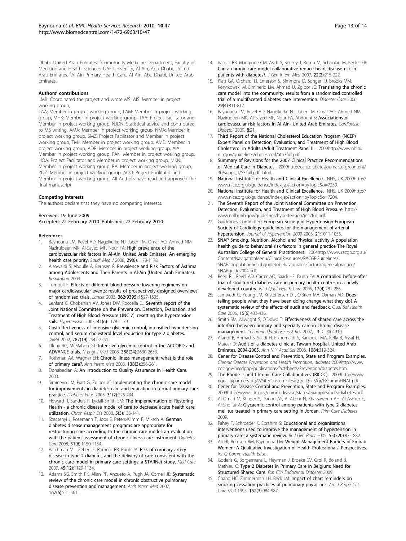<span id="page-12-0"></span>Dhabi, United Arab Emirates. <sup>3</sup>Community Medicine Department, Faculty of Medicine and Health Sciences, UAE University, Al Ain, Abu Dhabi, United Arab Emirates. <sup>4</sup>Al Ain Primary Health Care, Al Ain, Abu Dhabi, United Arab Emirates.

#### Authors' contributions

LMB: Coordinated the project and wrote MS, AIS: Member in project working group,

TAA: Member in project working group, LAM: Member in project working group, MHK: Member in project working group, TAA: Project Facilitator and Member in project working group, NJDN: Statistical advice and contributed to MS writing, AMA: Member in project working group, NMA: Member in project working group, SMZ: Project Facilitator and Member in project working group, TMJ: Member in project working group, AME: Member in project working group, ADR: Member in project working group, AIA: Member in project working group, FAN: Member in project working group, HOA: Project Facilitator and Member in project working group, MKN: Member in project working group, RA: Member in project working group, YOZ: Member in project working group, AOO: Project Facilitator and Member in project working group. All Authors have read and approved the final manuscript.

#### Competing interests

The authors declare that they have no competing interests.

#### Received: 19 June 2009

Accepted: 22 February 2010 Published: 22 February 2010

#### References

- 1. Baynouna LM, Revel AD, Nagelkerke NJ, Jaber TM, Omar AO, Ahmed NM, Naziruldeen MK, Al-Sayed MF, Nour FA: [High prevalence of the](http://www.ncbi.nlm.nih.gov/pubmed/18690314?dopt=Abstract) [cardiovascular risk factors in Al-Ain, United Arab Emirates. An emerging](http://www.ncbi.nlm.nih.gov/pubmed/18690314?dopt=Abstract) [health care priority.](http://www.ncbi.nlm.nih.gov/pubmed/18690314?dopt=Abstract) Saudi Med J 2008, 29(8):1173-1178.
- 2. Alsowaidi S, Abdulle A, Bernsen R: [Prevalence and Risk Factors of Asthma](http://www.ncbi.nlm.nih.gov/pubmed/19439923?dopt=Abstract) [among Adolescents and Their Parents in Al-Ain \(United Arab Emirates\).](http://www.ncbi.nlm.nih.gov/pubmed/19439923?dopt=Abstract) Respiration 2009.
- Turnbull F: [Effects of different blood-pressure-lowering regimens on](http://www.ncbi.nlm.nih.gov/pubmed/14615107?dopt=Abstract) [major cardiovascular events: results of prospectively-designed overviews](http://www.ncbi.nlm.nih.gov/pubmed/14615107?dopt=Abstract) [of randomised trials.](http://www.ncbi.nlm.nih.gov/pubmed/14615107?dopt=Abstract) Lancet 2003, 362(9395):1527-1535.
- 4. Lenfant C, Chobanian AV, Jones DW, Roccella EJ: [Seventh report of the](http://www.ncbi.nlm.nih.gov/pubmed/12756222?dopt=Abstract) [Joint National Committee on the Prevention, Detection, Evaluation, and](http://www.ncbi.nlm.nih.gov/pubmed/12756222?dopt=Abstract) [Treatment of High Blood Pressure \(JNC 7\): resetting the hypertension](http://www.ncbi.nlm.nih.gov/pubmed/12756222?dopt=Abstract) [sails.](http://www.ncbi.nlm.nih.gov/pubmed/12756222?dopt=Abstract) Hypertension 2003, 41(6):1178-1179.
- 5. Cost-effectiveness of intensive glycemic control, intensified hypertension control, and serum cholesterol level reduction for type 2 diabetes. JAMA 2002, 287(19):2542-2551.
- 6. Dluhy RG, McMahon GT: [Intensive glycemic control in the ACCORD and](http://www.ncbi.nlm.nih.gov/pubmed/18539918?dopt=Abstract) [ADVANCE trials.](http://www.ncbi.nlm.nih.gov/pubmed/18539918?dopt=Abstract) N Engl J Med 2008, 358(24):2630-2633.
- 7. Rothman AA, Wagner EH: [Chronic illness management: what is the role](http://www.ncbi.nlm.nih.gov/pubmed/12558376?dopt=Abstract) [of primary care?.](http://www.ncbi.nlm.nih.gov/pubmed/12558376?dopt=Abstract) Ann Intern Med 2003, 138(3):256-261.
- 8. Donabedian A: An Introduction to Quality Assurance in Health Care. 2003.
- 9. Siminerio LM, Piatt G, Zgibor JC: [Implementing the chronic care model](http://www.ncbi.nlm.nih.gov/pubmed/15797851?dopt=Abstract) [for improvements in diabetes care and education in a rural primary care](http://www.ncbi.nlm.nih.gov/pubmed/15797851?dopt=Abstract) [practice.](http://www.ncbi.nlm.nih.gov/pubmed/15797851?dopt=Abstract) Diabetes Educ 2005, 31(2):225-234.
- 10. Howard R, Sanders R, Lydall-Smith SM: [The implementation of Restoring](http://www.ncbi.nlm.nih.gov/pubmed/18684788?dopt=Abstract) [Health - a chronic disease model of care to decrease acute health care](http://www.ncbi.nlm.nih.gov/pubmed/18684788?dopt=Abstract) [utilization.](http://www.ncbi.nlm.nih.gov/pubmed/18684788?dopt=Abstract) Chron Respir Dis 2008, 5(3):133-141.
- 11. Szecsenyi J, Rosemann T, Joos S, Peters-Klimm F, Miksch A: [German](http://www.ncbi.nlm.nih.gov/pubmed/18299443?dopt=Abstract) [diabetes disease management programs are appropriate for](http://www.ncbi.nlm.nih.gov/pubmed/18299443?dopt=Abstract) [restructuring care according to the chronic care model: an evaluation](http://www.ncbi.nlm.nih.gov/pubmed/18299443?dopt=Abstract) [with the patient assessment of chronic illness care instrument.](http://www.ncbi.nlm.nih.gov/pubmed/18299443?dopt=Abstract) Diabetes Care 2008, 31(6):1150-1154.
- 12. Parchman ML, Zeber JE, Romero RR, Pugh JA: [Risk of coronary artery](http://www.ncbi.nlm.nih.gov/pubmed/18007162?dopt=Abstract) [disease in type 2 diabetes and the delivery of care consistent with the](http://www.ncbi.nlm.nih.gov/pubmed/18007162?dopt=Abstract) [chronic care model in primary care settings: a STARNet study.](http://www.ncbi.nlm.nih.gov/pubmed/18007162?dopt=Abstract) Med Care 2007, 45(12):1129-1134.
- 13. Adams SG, Smith PK, Allan PF, Anzueto A, Pugh JA, Cornell JE: [Systematic](http://www.ncbi.nlm.nih.gov/pubmed/17389286?dopt=Abstract) [review of the chronic care model in chronic obstructive pulmonary](http://www.ncbi.nlm.nih.gov/pubmed/17389286?dopt=Abstract) [disease prevention and management.](http://www.ncbi.nlm.nih.gov/pubmed/17389286?dopt=Abstract) Arch Intern Med 2007, 167(6):551-561.
- 14. Vargas RB, Mangione CM, Asch S, Keesey J, Rosen M, Schonlau M, Keeler EB: [Can a chronic care model collaborative reduce heart disease risk in](http://www.ncbi.nlm.nih.gov/pubmed/17356989?dopt=Abstract) [patients with diabetes?.](http://www.ncbi.nlm.nih.gov/pubmed/17356989?dopt=Abstract) J Gen Intern Med 2007, 22(2):215-222.
- 15. Piatt GA, Orchard TJ, Emerson S, Simmons D, Songer TJ, Brooks MM, Korytkowski M, Siminerio LM, Ahmad U, Zgibor JC: [Translating the chronic](http://www.ncbi.nlm.nih.gov/pubmed/16567820?dopt=Abstract) [care model into the community: results from a randomized controlled](http://www.ncbi.nlm.nih.gov/pubmed/16567820?dopt=Abstract) [trial of a multifaceted diabetes care intervention.](http://www.ncbi.nlm.nih.gov/pubmed/16567820?dopt=Abstract) Diabetes Care 2006, 29(4):811-817.
- Baynouna LM, Revel AD, Nagelkerke NJ, Jaber TM, Omar AO, Ahmed NM, Nazirudeen MK, Al Sayed MF, Nour FA, Abdouni S: [Associations of](http://www.ncbi.nlm.nih.gov/pubmed/19371412?dopt=Abstract) [cardiovascular risk factors in Al Ain- United Arab Emirates.](http://www.ncbi.nlm.nih.gov/pubmed/19371412?dopt=Abstract) Cardiovasc Diabetol 2009, 8:21.
- 17. Third Report of the National Cholesterol Education Program (NCEP) Expert Panel on Detection, Evaluation, and Treatment of High Blood Cholesterol in Adults (Adult Treatment Panel III. 200[9http://www.nhlbi.](http://www.nhlbi.nih.gov/guidelines/cholesterol/atp3full.pdf) [nih.gov/guidelines/cholesterol/atp3full.pdf.](http://www.nhlbi.nih.gov/guidelines/cholesterol/atp3full.pdf)
- 18. Summary of Revisions for the 2007 Clinical Practice Recommendations of Medical Care in Diabetes. 2009[http://care.diabetesjournals.org/content/](http://care.diabetesjournals.org/content/30/suppl_1/S3.full.pdf+html) [30/suppl\\_1/S3.full.pdf+html](http://care.diabetesjournals.org/content/30/suppl_1/S3.full.pdf+html).
- 19. National Institute for Health and Clinical Excellence. NHS, UK 200[9http://](http://www.nice.org.uk/guidance/index.jsp?action=byTopic&o=7239) [www.nice.org.uk/guidance/index.jsp?action=byTopic&o=7239.](http://www.nice.org.uk/guidance/index.jsp?action=byTopic&o=7239)
- 20. National Institute for Health and Clinical Excellence. NHS, UK 200[9http://](http://www.nice.org.uk/guidance/index.jsp?action=byTopic&o=7204) [www.nice.org.uk/guidance/index.jsp?action=byTopic&o=7204.](http://www.nice.org.uk/guidance/index.jsp?action=byTopic&o=7204)
- 21. The Seventh Report of the Joint National Committee on Prevention, Detection, Evaluation, and Treatment of High Blood Pressure. [http://](http://www.nhlbi.nih.gov/guidelines/hypertension/jnc7full.pdf) [www.nhlbi.nih.gov/guidelines/hypertension/jnc7full.pdf.](http://www.nhlbi.nih.gov/guidelines/hypertension/jnc7full.pdf)
- 22. Guidelines Committee: European Society of Hypertension-European Society of Cardiology guidelines for the management of arterial hypertension. Journal of Hypertension 2009 2003, 21:1011-1053.
- 23. SNAP Smoking, Nutrition, Alcohol and Physical activity A population health guide to behavioral risk factors in general practice The Royal Australian College of General Practitioners. 200[4http://www.racgp.org.au/](http://www.racgp.org.au/Content/NavigationMenu/ClinicalResources/RACGPGuidelines/SNAPapopulationhealthguidetobehaviouralriskfactorsingeneralpractice/SNAPguide2004.pdf) [Content/NavigationMenu/ClinicalResources/RACGPGuidelines/](http://www.racgp.org.au/Content/NavigationMenu/ClinicalResources/RACGPGuidelines/SNAPapopulationhealthguidetobehaviouralriskfactorsingeneralpractice/SNAPguide2004.pdf) [SNAPapopulationhealthguidetobehaviouralriskfactorsingeneralpractice/](http://www.racgp.org.au/Content/NavigationMenu/ClinicalResources/RACGPGuidelines/SNAPapopulationhealthguidetobehaviouralriskfactorsingeneralpractice/SNAPguide2004.pdf) [SNAPguide2004.pdf.](http://www.racgp.org.au/Content/NavigationMenu/ClinicalResources/RACGPGuidelines/SNAPapopulationhealthguidetobehaviouralriskfactorsingeneralpractice/SNAPguide2004.pdf)
- 24. Reed RL, Revel AD, Carter AO, Saadi HF, Dunn EV: [A controlled before-after](http://www.ncbi.nlm.nih.gov/pubmed/15831543?dopt=Abstract) [trial of structured diabetes care in primary health centres in a newly](http://www.ncbi.nlm.nih.gov/pubmed/15831543?dopt=Abstract) [developed country.](http://www.ncbi.nlm.nih.gov/pubmed/15831543?dopt=Abstract) Int J Qual Health Care 2005, 17(4):281-286.
- 25. Jamtvedt G, Young JM, Kristoffersen DT, O'Brien MA, Oxman AD: [Does](http://www.ncbi.nlm.nih.gov/pubmed/17142594?dopt=Abstract) [telling people what they have been doing change what they do? A](http://www.ncbi.nlm.nih.gov/pubmed/17142594?dopt=Abstract) [systematic review of the effects of audit and feedback.](http://www.ncbi.nlm.nih.gov/pubmed/17142594?dopt=Abstract) Qual Saf Health Care 2006, 15(6):433-436.
- 26. Smith SM, Allwright S, O'Dowd T: [Effectiveness of shared care across the](http://www.ncbi.nlm.nih.gov/pubmed/17636778?dopt=Abstract) [interface between primary and specialty care in chronic disease](http://www.ncbi.nlm.nih.gov/pubmed/17636778?dopt=Abstract) [management.](http://www.ncbi.nlm.nih.gov/pubmed/17636778?dopt=Abstract) Cochrane Database Syst Rev 2007, , 3: CD004910.
- 27. Afandi B, Ahmad S, Saadi H, Elkhumaidi S, Karkoukli MA, Kelly B, Assaf H, Matear D: [Audit of a diabetes clinic at Tawam hospital, United Arab](http://www.ncbi.nlm.nih.gov/pubmed/17151311?dopt=Abstract) [Emirates, 2004-2005.](http://www.ncbi.nlm.nih.gov/pubmed/17151311?dopt=Abstract) Ann N Y Acad Sci 2006, 1084:319-324.
- 28. Cener for Disease Control and Prevention, State and Program Examples. Chronic Disease Prevention and Health Promotion, diabetes 200[9http://www.](http://www.cdc.gov/nccdphp/publications/factsheets/Prevention/diabetes.htm) [cdc.gov/nccdphp/publications/factsheets/Prevention/diabetes.htm.](http://www.cdc.gov/nccdphp/publications/factsheets/Prevention/diabetes.htm)
- 29. The Rhode Island Chronic Care Collaboratives (RICCC). 200[9http://www.](http://www.riqualitypartners.org/2/Site/CustomFiles/Qlty_DocMgr/EXsummFINAL.pdf) [riqualitypartners.org/2/Site/CustomFiles/Qlty\\_DocMgr/EXsummFINAL.pdf](http://www.riqualitypartners.org/2/Site/CustomFiles/Qlty_DocMgr/EXsummFINAL.pdf).
- 30. Cener for Disease Control and Prevention, State and Program Examples. 200[9http://www.cdc.gov/chronicdisease/states/examples/pdfs/diabetes.pdf.](http://www.cdc.gov/chronicdisease/states/examples/pdfs/diabetes.pdf)
- 31. Al Omari M, Khader Y, Dauod AS, Al-Akour N, Khassawneh AH, Al-Ashker E, Al-Shdifat A: [Glycaemic control among patients with type 2 diabetes](http://www.ncbi.nlm.nih.gov/pubmed/19733521?dopt=Abstract) [mellitus treated in primary care setting in Jordan.](http://www.ncbi.nlm.nih.gov/pubmed/19733521?dopt=Abstract) Prim Care Diabetes 2009.
- 32. Fahey T, Schroeder K, Ebrahim S: [Educational and organisational](http://www.ncbi.nlm.nih.gov/pubmed/16282005?dopt=Abstract) [interventions used to improve the management of hypertension in](http://www.ncbi.nlm.nih.gov/pubmed/16282005?dopt=Abstract) [primary care: a systematic review.](http://www.ncbi.nlm.nih.gov/pubmed/16282005?dopt=Abstract) Br J Gen Pract 2005, 55(520):875-882.
- 33. Ali HI, Bernsen RM, Baynouna LM: Weight Management Barriers of Emirati Women: A Qualitative Investigation of Health Professionals' Perspectives. Int Q Comm Health Educ
- 34. Goderis G, Borgermans L, Heyrman J, Broeke CV, Grol R, Boland B, Mathieu C: [Type 2 Diabetes in Primary Care in Belgium: Need for](http://www.ncbi.nlm.nih.gov/pubmed/19358093?dopt=Abstract) [Structured Shared Care.](http://www.ncbi.nlm.nih.gov/pubmed/19358093?dopt=Abstract) Exp Clin Endocrinol Diabetes 2009
- 35. Chang HC, Zimmerman LH, Beck JM: [Impact of chart reminders on](http://www.ncbi.nlm.nih.gov/pubmed/7663814?dopt=Abstract) [smoking cessation practices of pulmonary physicians.](http://www.ncbi.nlm.nih.gov/pubmed/7663814?dopt=Abstract) Am J Respir Crit Care Med 1995, 152(3):984-987.